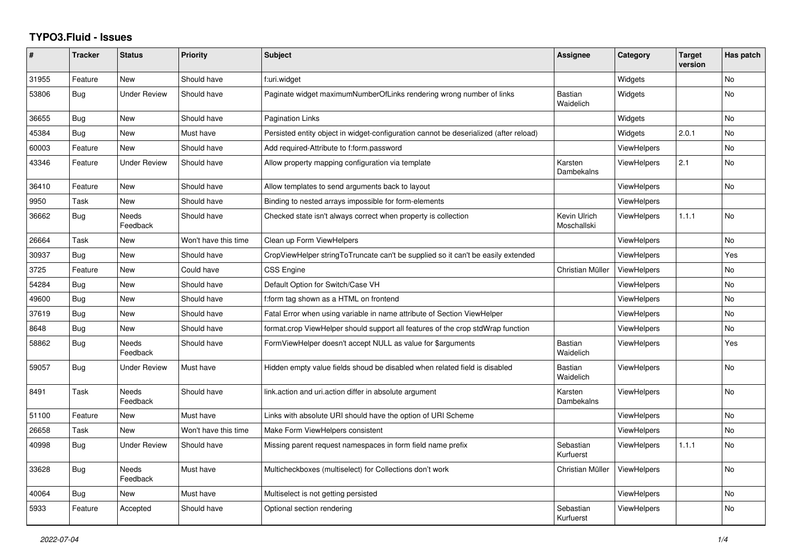## **TYPO3.Fluid - Issues**

| #     | <b>Tracker</b> | <b>Status</b>            | Priority             | <b>Subject</b>                                                                        | Assignee                    | Category           | <b>Target</b><br>version | Has patch |
|-------|----------------|--------------------------|----------------------|---------------------------------------------------------------------------------------|-----------------------------|--------------------|--------------------------|-----------|
| 31955 | Feature        | New                      | Should have          | f:uri.widget                                                                          |                             | Widgets            |                          | <b>No</b> |
| 53806 | Bug            | <b>Under Review</b>      | Should have          | Paginate widget maximumNumberOfLinks rendering wrong number of links                  | <b>Bastian</b><br>Waidelich | Widgets            |                          | <b>No</b> |
| 36655 | <b>Bug</b>     | <b>New</b>               | Should have          | <b>Pagination Links</b>                                                               |                             | Widgets            |                          | <b>No</b> |
| 45384 | Bug            | New                      | Must have            | Persisted entity object in widget-configuration cannot be deserialized (after reload) |                             | Widgets            | 2.0.1                    | No        |
| 60003 | Feature        | <b>New</b>               | Should have          | Add required-Attribute to f:form.password                                             |                             | <b>ViewHelpers</b> |                          | <b>No</b> |
| 43346 | Feature        | <b>Under Review</b>      | Should have          | Allow property mapping configuration via template                                     | Karsten<br>Dambekalns       | <b>ViewHelpers</b> | 2.1                      | No        |
| 36410 | Feature        | New                      | Should have          | Allow templates to send arguments back to layout                                      |                             | <b>ViewHelpers</b> |                          | <b>No</b> |
| 9950  | Task           | New                      | Should have          | Binding to nested arrays impossible for form-elements                                 |                             | <b>ViewHelpers</b> |                          |           |
| 36662 | <b>Bug</b>     | Needs<br>Feedback        | Should have          | Checked state isn't always correct when property is collection                        | Kevin Ulrich<br>Moschallski | <b>ViewHelpers</b> | 1.1.1                    | No        |
| 26664 | Task           | New                      | Won't have this time | Clean up Form ViewHelpers                                                             |                             | <b>ViewHelpers</b> |                          | <b>No</b> |
| 30937 | Bug            | <b>New</b>               | Should have          | CropViewHelper stringToTruncate can't be supplied so it can't be easily extended      |                             | <b>ViewHelpers</b> |                          | Yes       |
| 3725  | Feature        | New                      | Could have           | <b>CSS Engine</b>                                                                     | Christian Müller            | ViewHelpers        |                          | <b>No</b> |
| 54284 | Bug            | New                      | Should have          | Default Option for Switch/Case VH                                                     |                             | <b>ViewHelpers</b> |                          | No        |
| 49600 | Bug            | <b>New</b>               | Should have          | f:form tag shown as a HTML on frontend                                                |                             | <b>ViewHelpers</b> |                          | <b>No</b> |
| 37619 | Bug            | New                      | Should have          | Fatal Error when using variable in name attribute of Section ViewHelper               |                             | <b>ViewHelpers</b> |                          | <b>No</b> |
| 8648  | Bug            | New                      | Should have          | format.crop ViewHelper should support all features of the crop stdWrap function       |                             | <b>ViewHelpers</b> |                          | No        |
| 58862 | <b>Bug</b>     | <b>Needs</b><br>Feedback | Should have          | FormViewHelper doesn't accept NULL as value for \$arguments                           | <b>Bastian</b><br>Waidelich | <b>ViewHelpers</b> |                          | Yes       |
| 59057 | <b>Bug</b>     | <b>Under Review</b>      | Must have            | Hidden empty value fields shoud be disabled when related field is disabled            | Bastian<br>Waidelich        | <b>ViewHelpers</b> |                          | <b>No</b> |
| 8491  | Task           | Needs<br>Feedback        | Should have          | link.action and uri.action differ in absolute argument                                | Karsten<br>Dambekalns       | <b>ViewHelpers</b> |                          | No        |
| 51100 | Feature        | <b>New</b>               | Must have            | Links with absolute URI should have the option of URI Scheme                          |                             | <b>ViewHelpers</b> |                          | <b>No</b> |
| 26658 | Task           | <b>New</b>               | Won't have this time | Make Form ViewHelpers consistent                                                      |                             | <b>ViewHelpers</b> |                          | <b>No</b> |
| 40998 | Bug            | <b>Under Review</b>      | Should have          | Missing parent request namespaces in form field name prefix                           | Sebastian<br>Kurfuerst      | <b>ViewHelpers</b> | 1.1.1                    | <b>No</b> |
| 33628 | <b>Bug</b>     | Needs<br>Feedback        | Must have            | Multicheckboxes (multiselect) for Collections don't work                              | Christian Müller            | <b>ViewHelpers</b> |                          | <b>No</b> |
| 40064 | Bug            | <b>New</b>               | Must have            | Multiselect is not getting persisted                                                  |                             | <b>ViewHelpers</b> |                          | <b>No</b> |
| 5933  | Feature        | Accepted                 | Should have          | Optional section rendering                                                            | Sebastian<br>Kurfuerst      | <b>ViewHelpers</b> |                          | <b>No</b> |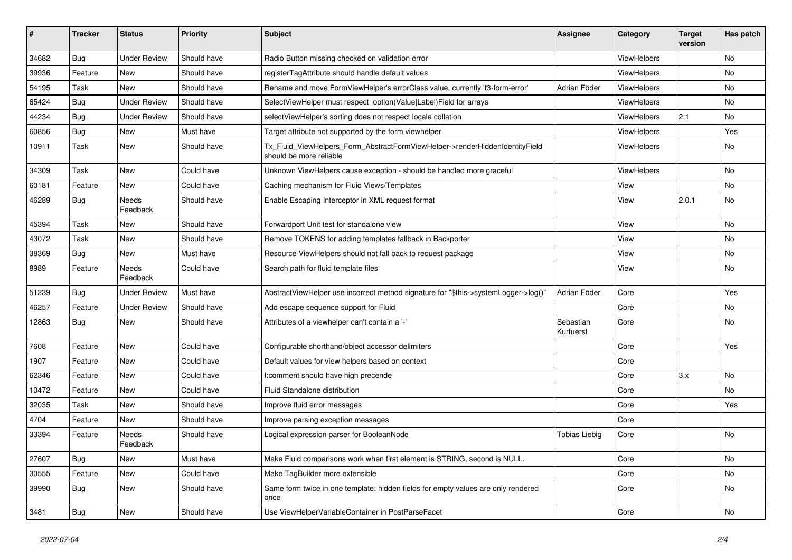| #     | <b>Tracker</b> | <b>Status</b>       | <b>Priority</b> | <b>Subject</b>                                                                                         | Assignee               | Category    | <b>Target</b><br>version | Has patch |
|-------|----------------|---------------------|-----------------|--------------------------------------------------------------------------------------------------------|------------------------|-------------|--------------------------|-----------|
| 34682 | <b>Bug</b>     | <b>Under Review</b> | Should have     | Radio Button missing checked on validation error                                                       |                        | ViewHelpers |                          | <b>No</b> |
| 39936 | Feature        | New                 | Should have     | registerTagAttribute should handle default values                                                      |                        | ViewHelpers |                          | No        |
| 54195 | Task           | New                 | Should have     | Rename and move FormViewHelper's errorClass value, currently 'f3-form-error'                           | Adrian Föder           | ViewHelpers |                          | No        |
| 65424 | Bug            | <b>Under Review</b> | Should have     | SelectViewHelper must respect option(Value Label)Field for arrays                                      |                        | ViewHelpers |                          | <b>No</b> |
| 44234 | <b>Bug</b>     | Under Review        | Should have     | selectViewHelper's sorting does not respect locale collation                                           |                        | ViewHelpers | 2.1                      | No        |
| 60856 | <b>Bug</b>     | New                 | Must have       | Target attribute not supported by the form viewhelper                                                  |                        | ViewHelpers |                          | Yes       |
| 10911 | Task           | New                 | Should have     | Tx_Fluid_ViewHelpers_Form_AbstractFormViewHelper->renderHiddenIdentityField<br>should be more reliable |                        | ViewHelpers |                          | No        |
| 34309 | Task           | New                 | Could have      | Unknown ViewHelpers cause exception - should be handled more graceful                                  |                        | ViewHelpers |                          | No        |
| 60181 | Feature        | New                 | Could have      | Caching mechanism for Fluid Views/Templates                                                            |                        | View        |                          | <b>No</b> |
| 46289 | Bug            | Needs<br>Feedback   | Should have     | Enable Escaping Interceptor in XML request format                                                      |                        | View        | 2.0.1                    | No        |
| 45394 | Task           | New                 | Should have     | Forwardport Unit test for standalone view                                                              |                        | View        |                          | No        |
| 43072 | Task           | New                 | Should have     | Remove TOKENS for adding templates fallback in Backporter                                              |                        | View        |                          | No        |
| 38369 | Bug            | New                 | Must have       | Resource ViewHelpers should not fall back to request package                                           |                        | View        |                          | No        |
| 8989  | Feature        | Needs<br>Feedback   | Could have      | Search path for fluid template files                                                                   |                        | View        |                          | No        |
| 51239 | <b>Bug</b>     | <b>Under Review</b> | Must have       | AbstractViewHelper use incorrect method signature for "\$this->systemLogger->log()"                    | Adrian Föder           | Core        |                          | Yes       |
| 46257 | Feature        | <b>Under Review</b> | Should have     | Add escape sequence support for Fluid                                                                  |                        | Core        |                          | No        |
| 12863 | <b>Bug</b>     | New                 | Should have     | Attributes of a viewhelper can't contain a '-'                                                         | Sebastian<br>Kurfuerst | Core        |                          | <b>No</b> |
| 7608  | Feature        | New                 | Could have      | Configurable shorthand/object accessor delimiters                                                      |                        | Core        |                          | Yes       |
| 1907  | Feature        | New                 | Could have      | Default values for view helpers based on context                                                       |                        | Core        |                          |           |
| 62346 | Feature        | New                 | Could have      | f:comment should have high precende                                                                    |                        | Core        | 3.x                      | <b>No</b> |
| 10472 | Feature        | New                 | Could have      | Fluid Standalone distribution                                                                          |                        | Core        |                          | No        |
| 32035 | Task           | New                 | Should have     | Improve fluid error messages                                                                           |                        | Core        |                          | Yes       |
| 4704  | Feature        | New                 | Should have     | Improve parsing exception messages                                                                     |                        | Core        |                          |           |
| 33394 | Feature        | Needs<br>Feedback   | Should have     | Logical expression parser for BooleanNode                                                              | <b>Tobias Liebig</b>   | Core        |                          | <b>No</b> |
| 27607 | Bug            | New                 | Must have       | Make Fluid comparisons work when first element is STRING, second is NULL.                              |                        | Core        |                          | No        |
| 30555 | Feature        | New                 | Could have      | Make TagBuilder more extensible                                                                        |                        | Core        |                          | No        |
| 39990 | Bug            | New                 | Should have     | Same form twice in one template: hidden fields for empty values are only rendered<br>once              |                        | Core        |                          | No        |
| 3481  | <b>Bug</b>     | New                 | Should have     | Use ViewHelperVariableContainer in PostParseFacet                                                      |                        | Core        |                          | No        |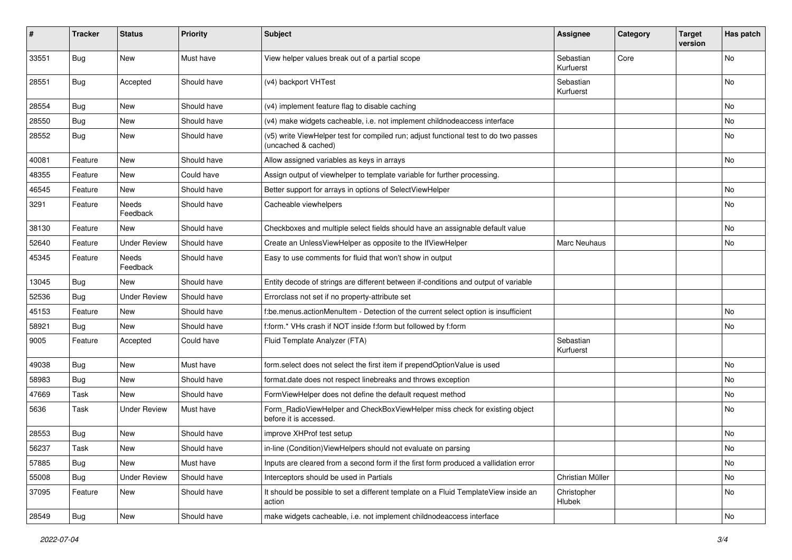| $\pmb{\#}$ | <b>Tracker</b> | <b>Status</b>       | <b>Priority</b> | <b>Subject</b>                                                                                              | Assignee               | Category | <b>Target</b><br>version | Has patch                    |
|------------|----------------|---------------------|-----------------|-------------------------------------------------------------------------------------------------------------|------------------------|----------|--------------------------|------------------------------|
| 33551      | Bug            | New                 | Must have       | View helper values break out of a partial scope                                                             | Sebastian<br>Kurfuerst | Core     |                          | <b>No</b>                    |
| 28551      | Bug            | Accepted            | Should have     | (v4) backport VHTest                                                                                        | Sebastian<br>Kurfuerst |          |                          | No                           |
| 28554      | Bug            | New                 | Should have     | (v4) implement feature flag to disable caching                                                              |                        |          |                          | No                           |
| 28550      | Bug            | New                 | Should have     | (v4) make widgets cacheable, i.e. not implement childnodeaccess interface                                   |                        |          |                          | <b>No</b>                    |
| 28552      | Bug            | New                 | Should have     | (v5) write ViewHelper test for compiled run; adjust functional test to do two passes<br>(uncached & cached) |                        |          |                          | No                           |
| 40081      | Feature        | New                 | Should have     | Allow assigned variables as keys in arrays                                                                  |                        |          |                          | No                           |
| 48355      | Feature        | New                 | Could have      | Assign output of viewhelper to template variable for further processing.                                    |                        |          |                          |                              |
| 46545      | Feature        | New                 | Should have     | Better support for arrays in options of SelectViewHelper                                                    |                        |          |                          | No                           |
| 3291       | Feature        | Needs<br>Feedback   | Should have     | Cacheable viewhelpers                                                                                       |                        |          |                          | No                           |
| 38130      | Feature        | New                 | Should have     | Checkboxes and multiple select fields should have an assignable default value                               |                        |          |                          | <b>No</b>                    |
| 52640      | Feature        | <b>Under Review</b> | Should have     | Create an UnlessViewHelper as opposite to the IfViewHelper                                                  | Marc Neuhaus           |          |                          | No                           |
| 45345      | Feature        | Needs<br>Feedback   | Should have     | Easy to use comments for fluid that won't show in output                                                    |                        |          |                          |                              |
| 13045      | Bug            | New                 | Should have     | Entity decode of strings are different between if-conditions and output of variable                         |                        |          |                          |                              |
| 52536      | Bug            | <b>Under Review</b> | Should have     | Errorclass not set if no property-attribute set                                                             |                        |          |                          |                              |
| 45153      | Feature        | New                 | Should have     | f:be.menus.actionMenuItem - Detection of the current select option is insufficient                          |                        |          |                          | No                           |
| 58921      | Bug            | New                 | Should have     | f:form.* VHs crash if NOT inside f:form but followed by f:form                                              |                        |          |                          | No                           |
| 9005       | Feature        | Accepted            | Could have      | Fluid Template Analyzer (FTA)                                                                               | Sebastian<br>Kurfuerst |          |                          |                              |
| 49038      | Bug            | New                 | Must have       | form.select does not select the first item if prependOptionValue is used                                    |                        |          |                          | <b>No</b>                    |
| 58983      | Bug            | <b>New</b>          | Should have     | format.date does not respect linebreaks and throws exception                                                |                        |          |                          | No                           |
| 47669      | Task           | New                 | Should have     | FormViewHelper does not define the default request method                                                   |                        |          |                          | No                           |
| 5636       | Task           | <b>Under Review</b> | Must have       | Form_RadioViewHelper and CheckBoxViewHelper miss check for existing object<br>before it is accessed.        |                        |          |                          | No                           |
| 28553      | Bug            | New                 | Should have     | improve XHProf test setup                                                                                   |                        |          |                          | No                           |
| 56237      | Task           | New                 | Should have     | in-line (Condition) View Helpers should not evaluate on parsing                                             |                        |          |                          | $\operatorname{\mathsf{No}}$ |
| 57885      | Bug            | New                 | Must have       | Inputs are cleared from a second form if the first form produced a vallidation error                        |                        |          |                          | No                           |
| 55008      | Bug            | <b>Under Review</b> | Should have     | Interceptors should be used in Partials                                                                     | Christian Müller       |          |                          | No                           |
| 37095      | Feature        | New                 | Should have     | It should be possible to set a different template on a Fluid TemplateView inside an<br>action               | Christopher<br>Hlubek  |          |                          | No                           |
| 28549      | Bug            | New                 | Should have     | make widgets cacheable, i.e. not implement childnodeaccess interface                                        |                        |          |                          | No                           |